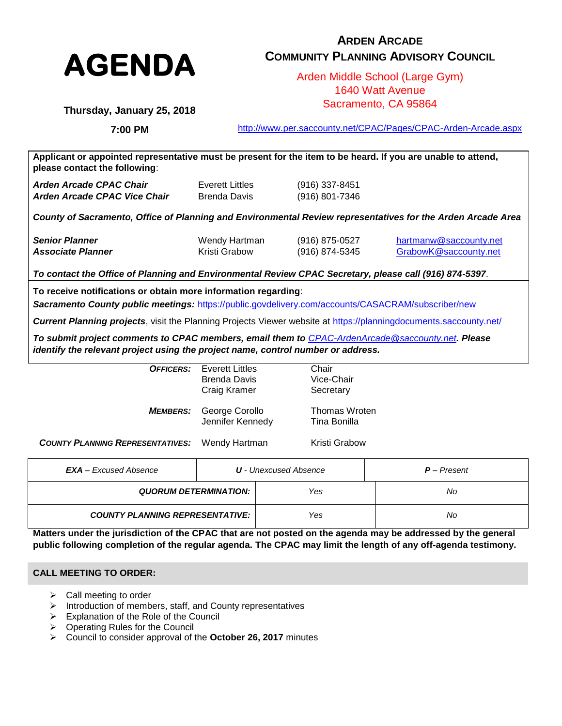

# **ARDEN ARCADE COMMUNITY PLANNING ADVISORY COUNCIL**

Arden Middle School (Large Gym) 1640 Watt Avenue Sacramento, CA 95864

**Thursday, January 25, 2018**

**7:00 PM**

<http://www.per.saccounty.net/CPAC/Pages/CPAC-Arden-Arcade.aspx>

**Applicant or appointed representative must be present for the item to be heard. If you are unable to attend, please contact the following**: *Arden Arcade CPAC Chair* Everett Littles (916) 337-8451 *Arden Arcade CPAC Vice Chair* Brenda Davis (916) 801-7346

*County of Sacramento, Office of Planning and Environmental Review representatives for the Arden Arcade Area*

| <b>Senior Planner</b>    | Wendy Hartman | (916) 875-0527 | hartmanw@saccounty.net |
|--------------------------|---------------|----------------|------------------------|
| <b>Associate Planner</b> | Kristi Grabow | (916) 874-5345 | GrabowK@saccounty.net  |

*To contact the Office of Planning and Environmental Review CPAC Secretary, please call (916) 874-5397*.

**To receive notifications or obtain more information regarding**:

*Sacramento County public meetings:* <https://public.govdelivery.com/accounts/CASACRAM/subscriber/new>

*Current Planning projects*, visit the Planning Projects Viewer website at<https://planningdocuments.saccounty.net/>

*To submit project comments to CPAC members, email them to [CPAC-ArdenArcade@saccounty.net](mailto:CPAC-ArdenArcade@saccounty.net). Please identify the relevant project using the project name, control number or address.*

| OFFICERS:                               | Everett Littles<br>Brenda Davis    | Chair<br>Vice-Chair           |               |  |  |
|-----------------------------------------|------------------------------------|-------------------------------|---------------|--|--|
|                                         | Craig Kramer                       | Secretary                     |               |  |  |
| <b>MEMBERS:</b>                         | George Corollo<br>Jennifer Kennedy | Thomas Wroten<br>Tina Bonilla |               |  |  |
| <b>COUNTY PLANNING REPRESENTATIVES:</b> | Wendy Hartman                      | Kristi Grabow                 |               |  |  |
| <b>EXA</b> – Excused Absence            | <b>U</b> - Unexcused Absence       |                               | $P$ – Present |  |  |
| <b>QUORUM DETERMINATION:</b>            |                                    | Yes                           | No            |  |  |

|                                        | , JJ | . . J |
|----------------------------------------|------|-------|
| <b>COUNTY PLANNING REPRESENTATIVE:</b> | Yes  | No    |

**Matters under the jurisdiction of the CPAC that are not posted on the agenda may be addressed by the general public following completion of the regular agenda. The CPAC may limit the length of any off-agenda testimony.**

## **CALL MEETING TO ORDER:**

- $\triangleright$  Call meeting to order
- $\triangleright$  Introduction of members, staff, and County representatives
- $\triangleright$  Explanation of the Role of the Council
- $\triangleright$  Operating Rules for the Council
- Council to consider approval of the **October 26, 2017** minutes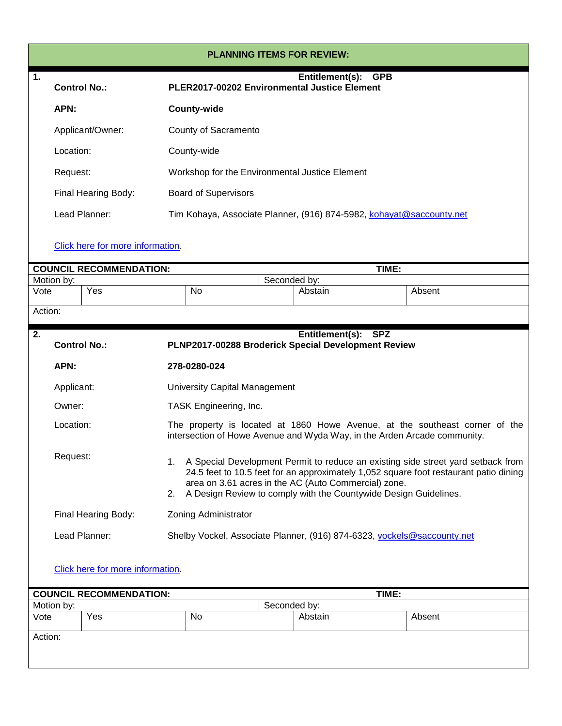| <b>PLANNING ITEMS FOR REVIEW:</b> |                                                                                                                                                                                                                                                                                                                               |                                  |  |                             |                                      |                                                                      |            |                                                                                                                                                         |
|-----------------------------------|-------------------------------------------------------------------------------------------------------------------------------------------------------------------------------------------------------------------------------------------------------------------------------------------------------------------------------|----------------------------------|--|-----------------------------|--------------------------------------|----------------------------------------------------------------------|------------|---------------------------------------------------------------------------------------------------------------------------------------------------------|
| 1.                                |                                                                                                                                                                                                                                                                                                                               | <b>Control No.:</b>              |  |                             |                                      | Entitlement(s):<br>PLER2017-00202 Environmental Justice Element      | <b>GPB</b> |                                                                                                                                                         |
|                                   | APN:                                                                                                                                                                                                                                                                                                                          |                                  |  | <b>County-wide</b>          |                                      |                                                                      |            |                                                                                                                                                         |
|                                   |                                                                                                                                                                                                                                                                                                                               | Applicant/Owner:                 |  | County of Sacramento        |                                      |                                                                      |            |                                                                                                                                                         |
|                                   | Location:                                                                                                                                                                                                                                                                                                                     |                                  |  | County-wide                 |                                      |                                                                      |            |                                                                                                                                                         |
|                                   | Request:                                                                                                                                                                                                                                                                                                                      |                                  |  |                             |                                      | Workshop for the Environmental Justice Element                       |            |                                                                                                                                                         |
|                                   |                                                                                                                                                                                                                                                                                                                               | Final Hearing Body:              |  | <b>Board of Supervisors</b> |                                      |                                                                      |            |                                                                                                                                                         |
|                                   |                                                                                                                                                                                                                                                                                                                               | Lead Planner:                    |  |                             |                                      | Tim Kohaya, Associate Planner, (916) 874-5982, kohayat@saccounty.net |            |                                                                                                                                                         |
|                                   |                                                                                                                                                                                                                                                                                                                               | Click here for more information. |  |                             |                                      |                                                                      |            |                                                                                                                                                         |
|                                   |                                                                                                                                                                                                                                                                                                                               | <b>COUNCIL RECOMMENDATION:</b>   |  |                             |                                      |                                                                      | TIME:      |                                                                                                                                                         |
|                                   | Motion by:                                                                                                                                                                                                                                                                                                                    |                                  |  |                             |                                      | Seconded by:                                                         |            |                                                                                                                                                         |
| Vote                              |                                                                                                                                                                                                                                                                                                                               | Yes                              |  | No                          |                                      | Abstain                                                              |            | Absent                                                                                                                                                  |
| Action:                           |                                                                                                                                                                                                                                                                                                                               |                                  |  |                             |                                      |                                                                      |            |                                                                                                                                                         |
| 2.                                |                                                                                                                                                                                                                                                                                                                               |                                  |  |                             |                                      | Entitlement(s): SPZ                                                  |            |                                                                                                                                                         |
|                                   |                                                                                                                                                                                                                                                                                                                               | <b>Control No.:</b>              |  |                             |                                      | PLNP2017-00288 Broderick Special Development Review                  |            |                                                                                                                                                         |
|                                   | APN:                                                                                                                                                                                                                                                                                                                          |                                  |  | 278-0280-024                |                                      |                                                                      |            |                                                                                                                                                         |
|                                   | Applicant:                                                                                                                                                                                                                                                                                                                    |                                  |  |                             | <b>University Capital Management</b> |                                                                      |            |                                                                                                                                                         |
|                                   | Owner:                                                                                                                                                                                                                                                                                                                        |                                  |  | TASK Engineering, Inc.      |                                      |                                                                      |            |                                                                                                                                                         |
|                                   | Location:                                                                                                                                                                                                                                                                                                                     |                                  |  |                             |                                      |                                                                      |            | The property is located at 1860 Howe Avenue, at the southeast corner of the<br>intersection of Howe Avenue and Wyda Way, in the Arden Arcade community. |
|                                   | Request:<br>A Special Development Permit to reduce an existing side street yard setback from<br>1.<br>24.5 feet to 10.5 feet for an approximately 1,052 square foot restaurant patio dining<br>area on 3.61 acres in the AC (Auto Commercial) zone.<br>A Design Review to comply with the Countywide Design Guidelines.<br>2. |                                  |  |                             |                                      |                                                                      |            |                                                                                                                                                         |
|                                   | Zoning Administrator<br>Final Hearing Body:                                                                                                                                                                                                                                                                                   |                                  |  |                             |                                      |                                                                      |            |                                                                                                                                                         |
|                                   | Lead Planner:<br>Shelby Vockel, Associate Planner, (916) 874-6323, vockels@saccounty.net                                                                                                                                                                                                                                      |                                  |  |                             |                                      |                                                                      |            |                                                                                                                                                         |
|                                   |                                                                                                                                                                                                                                                                                                                               | Click here for more information. |  |                             |                                      |                                                                      |            |                                                                                                                                                         |
|                                   |                                                                                                                                                                                                                                                                                                                               |                                  |  |                             |                                      |                                                                      |            |                                                                                                                                                         |
|                                   |                                                                                                                                                                                                                                                                                                                               | <b>COUNCIL RECOMMENDATION:</b>   |  |                             |                                      |                                                                      | TIME:      |                                                                                                                                                         |
| Vote                              | Motion by:                                                                                                                                                                                                                                                                                                                    | $\overline{Y}$ es                |  | No                          |                                      | Seconded by:<br>Abstain                                              |            | Absent                                                                                                                                                  |
| Action:                           |                                                                                                                                                                                                                                                                                                                               |                                  |  |                             |                                      |                                                                      |            |                                                                                                                                                         |
|                                   |                                                                                                                                                                                                                                                                                                                               |                                  |  |                             |                                      |                                                                      |            |                                                                                                                                                         |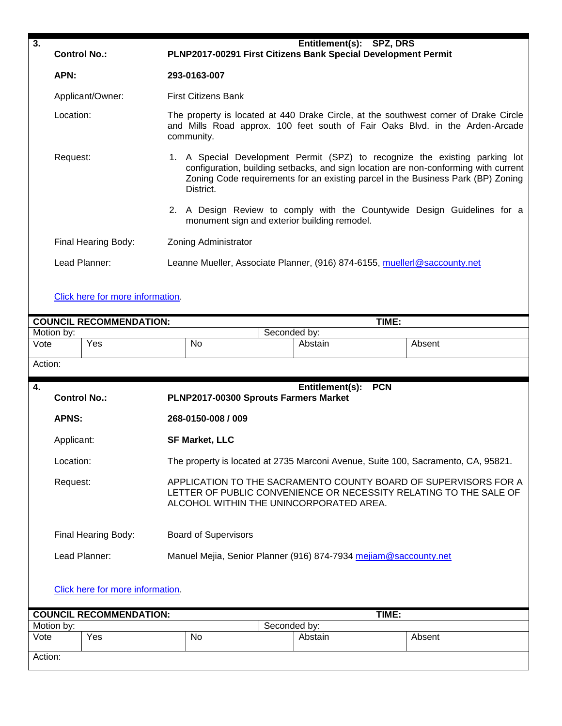| 3.                                                                                |                                                                                                                                                                                             |                                                                                                                                                                                                                                                                     |              | Entitlement(s): SPZ, DRS                                                          |                                                                          |  |
|-----------------------------------------------------------------------------------|---------------------------------------------------------------------------------------------------------------------------------------------------------------------------------------------|---------------------------------------------------------------------------------------------------------------------------------------------------------------------------------------------------------------------------------------------------------------------|--------------|-----------------------------------------------------------------------------------|--------------------------------------------------------------------------|--|
|                                                                                   | <b>Control No.:</b>                                                                                                                                                                         | PLNP2017-00291 First Citizens Bank Special Development Permit                                                                                                                                                                                                       |              |                                                                                   |                                                                          |  |
|                                                                                   | APN:                                                                                                                                                                                        | 293-0163-007                                                                                                                                                                                                                                                        |              |                                                                                   |                                                                          |  |
|                                                                                   | Applicant/Owner:                                                                                                                                                                            | <b>First Citizens Bank</b>                                                                                                                                                                                                                                          |              |                                                                                   |                                                                          |  |
|                                                                                   | Location:                                                                                                                                                                                   | The property is located at 440 Drake Circle, at the southwest corner of Drake Circle<br>and Mills Road approx. 100 feet south of Fair Oaks Blvd. in the Arden-Arcade<br>community.                                                                                  |              |                                                                                   |                                                                          |  |
|                                                                                   | Request:                                                                                                                                                                                    | 1. A Special Development Permit (SPZ) to recognize the existing parking lot<br>configuration, building setbacks, and sign location are non-conforming with current<br>Zoning Code requirements for an existing parcel in the Business Park (BP) Zoning<br>District. |              |                                                                                   |                                                                          |  |
|                                                                                   |                                                                                                                                                                                             |                                                                                                                                                                                                                                                                     |              | monument sign and exterior building remodel.                                      | 2. A Design Review to comply with the Countywide Design Guidelines for a |  |
|                                                                                   | Final Hearing Body:                                                                                                                                                                         | <b>Zoning Administrator</b>                                                                                                                                                                                                                                         |              |                                                                                   |                                                                          |  |
|                                                                                   | Lead Planner:                                                                                                                                                                               |                                                                                                                                                                                                                                                                     |              | Leanne Mueller, Associate Planner, (916) 874-6155, muellerl@saccounty.net         |                                                                          |  |
|                                                                                   | Click here for more information.                                                                                                                                                            |                                                                                                                                                                                                                                                                     |              |                                                                                   |                                                                          |  |
|                                                                                   |                                                                                                                                                                                             |                                                                                                                                                                                                                                                                     |              |                                                                                   |                                                                          |  |
|                                                                                   | <b>COUNCIL RECOMMENDATION:</b>                                                                                                                                                              |                                                                                                                                                                                                                                                                     |              | TIME:                                                                             |                                                                          |  |
| Vote                                                                              | Motion by:<br>Yes                                                                                                                                                                           | No                                                                                                                                                                                                                                                                  | Seconded by: | Abstain                                                                           | Absent                                                                   |  |
| Action:                                                                           |                                                                                                                                                                                             |                                                                                                                                                                                                                                                                     |              |                                                                                   |                                                                          |  |
| 4.                                                                                |                                                                                                                                                                                             |                                                                                                                                                                                                                                                                     |              | <b>PCN</b><br>Entitlement(s):                                                     |                                                                          |  |
| <b>Control No.:</b><br>PLNP2017-00300 Sprouts Farmers Market                      |                                                                                                                                                                                             |                                                                                                                                                                                                                                                                     |              |                                                                                   |                                                                          |  |
|                                                                                   | <b>APNS:</b>                                                                                                                                                                                | 268-0150-008 / 009                                                                                                                                                                                                                                                  |              |                                                                                   |                                                                          |  |
|                                                                                   | Applicant:                                                                                                                                                                                  | <b>SF Market, LLC</b>                                                                                                                                                                                                                                               |              |                                                                                   |                                                                          |  |
|                                                                                   | Location:                                                                                                                                                                                   |                                                                                                                                                                                                                                                                     |              | The property is located at 2735 Marconi Avenue, Suite 100, Sacramento, CA, 95821. |                                                                          |  |
|                                                                                   | APPLICATION TO THE SACRAMENTO COUNTY BOARD OF SUPERVISORS FOR A<br>Request:<br>LETTER OF PUBLIC CONVENIENCE OR NECESSITY RELATING TO THE SALE OF<br>ALCOHOL WITHIN THE UNINCORPORATED AREA. |                                                                                                                                                                                                                                                                     |              |                                                                                   |                                                                          |  |
|                                                                                   | <b>Board of Supervisors</b><br>Final Hearing Body:                                                                                                                                          |                                                                                                                                                                                                                                                                     |              |                                                                                   |                                                                          |  |
| Lead Planner:<br>Manuel Mejia, Senior Planner (916) 874-7934 mejiam@saccounty.net |                                                                                                                                                                                             |                                                                                                                                                                                                                                                                     |              |                                                                                   |                                                                          |  |
|                                                                                   | Click here for more information.                                                                                                                                                            |                                                                                                                                                                                                                                                                     |              |                                                                                   |                                                                          |  |
|                                                                                   | <b>COUNCIL RECOMMENDATION:</b>                                                                                                                                                              |                                                                                                                                                                                                                                                                     |              | TIME:                                                                             |                                                                          |  |
|                                                                                   | Motion by:                                                                                                                                                                                  |                                                                                                                                                                                                                                                                     | Seconded by: |                                                                                   |                                                                          |  |
| Vote                                                                              | Yes                                                                                                                                                                                         | No                                                                                                                                                                                                                                                                  |              | Abstain                                                                           | Absent                                                                   |  |
| Action:                                                                           |                                                                                                                                                                                             |                                                                                                                                                                                                                                                                     |              |                                                                                   |                                                                          |  |